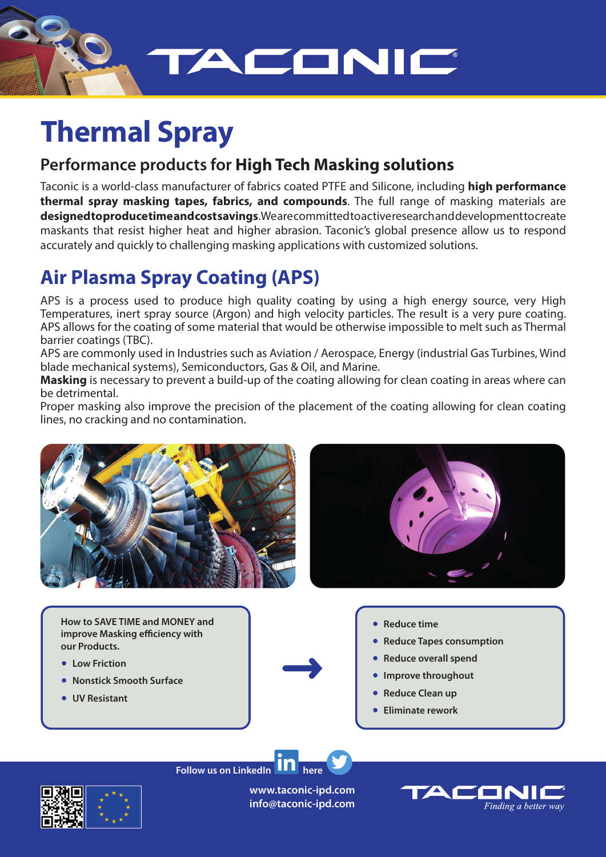

# **Thermal Spray**

## **Performance products for High Tech Masking solutions**

Taconic is a world-class manufacturer of fabrics coated PTFE and Silicone, including **high performance thermal spray masking tapes, fabrics, and compounds**. The full range of masking materials are **designed to produce time and cost savings**. We are committed to active research and development to create maskants that resist higher heat and higher abrasion. Taconic's global presence allow us to respond accurately and quickly to challenging masking applications with customized solutions.

## **Air Plasma Spray Coating (APS)**

APS is a process used to produce high quality coating by using a high energy source, very High Temperatures, inert spray source (Argon) and high velocity particles. The result is a very pure coating. APS allows for the coating of some material that would be otherwise impossible to melt such as Thermal barrier coatings (TBC).

APS are commonly used in Industries such as Aviation / Aerospace, Energy (industrial Gas Turbines, Wind blade mechanical systems), Semiconductors, Gas & Oil, and Marine.

**Masking** is necessary to prevent a build-up of the coating allowing for clean coating in areas where can be detrimental.

Proper masking also improve the precision of the placement of the coating allowing for clean coating lines, no cracking and no contamination.



**How to SAVE TIME and MONEY and improve Masking efficiency with our Products.**

- **Low Friction**
- **Nonstick Smooth Surface**
- **UV Resistant**
- **Reduce time** 
	- **Reduce Tapes consumption**
	- **Reduce overall spend**
	- **Improve throughout**
	- **Reduce Clean up**
	- **Eliminate rework**



**Follow us on LinkedIn III** here

**www.taconic-ipd.com info@taconic-ipd.com**